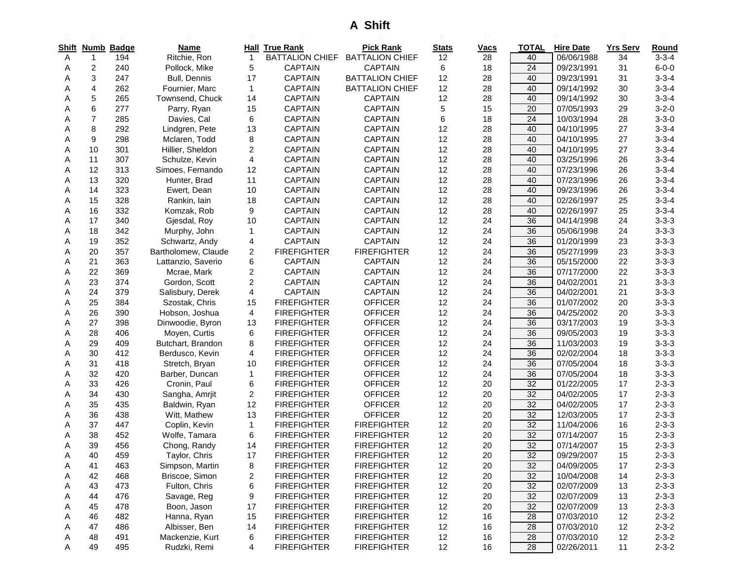## **A Shift**

|       |                |                   |                     |                         |                        | A JIIII                |                    |                   |                 |                          |                 |             |
|-------|----------------|-------------------|---------------------|-------------------------|------------------------|------------------------|--------------------|-------------------|-----------------|--------------------------|-----------------|-------------|
| Shift |                | <b>Numb Badge</b> | <b>Name</b>         |                         | <b>Hall True Rank</b>  | <b>Pick Rank</b>       |                    |                   | <b>TOTAL</b>    | <b>Hire Date</b>         | <b>Yrs Serv</b> | Round       |
| A     | 1              | 194               | Ritchie, Ron        | $\mathbf{1}$            | <b>BATTALION CHIEF</b> | <b>BATTALION CHIEF</b> | <b>Stats</b><br>12 | <u>Vacs</u><br>28 | 40              | 06/06/1988               | 34              | $3 - 3 - 4$ |
| A     | 2              | 240               | Pollock, Mike       | 5                       | <b>CAPTAIN</b>         | <b>CAPTAIN</b>         | 6                  | 18                | $\overline{24}$ | 09/23/1991               | 31              | $6 - 0 - 0$ |
| Α     | 3              | 247               | Bull, Dennis        | 17                      | <b>CAPTAIN</b>         | <b>BATTALION CHIEF</b> | 12                 | 28                | 40              | 09/23/1991               | 31              | $3 - 3 - 4$ |
| Α     | 4              | 262               | Fournier, Marc      | 1                       | CAPTAIN                | <b>BATTALION CHIEF</b> | 12                 | 28                | 40              | 09/14/1992               | 30              | $3 - 3 - 4$ |
| Α     | 5              | 265               | Townsend, Chuck     | 14                      | <b>CAPTAIN</b>         | <b>CAPTAIN</b>         | 12                 | 28                | 40              | 09/14/1992               | 30              | $3 - 3 - 4$ |
|       | 6              | 277               | Parry, Ryan         | 15                      | <b>CAPTAIN</b>         | <b>CAPTAIN</b>         | 5                  | 15                | 20              | 07/05/1993               | 29              | $3 - 2 - 0$ |
| Α     | $\overline{7}$ | 285               | Davies, Cal         | 6                       | <b>CAPTAIN</b>         | <b>CAPTAIN</b>         | 6                  | 18                | $\overline{24}$ | 10/03/1994               | 28              | $3 - 3 - 0$ |
| Α     | 8              | 292               | Lindgren, Pete      | 13                      | <b>CAPTAIN</b>         | <b>CAPTAIN</b>         | 12                 | 28                | 40              | 04/10/1995               | 27              | $3 - 3 - 4$ |
| Α     | 9              | 298               | Mclaren, Todd       | 8                       | <b>CAPTAIN</b>         | <b>CAPTAIN</b>         | 12                 | 28                | 40              | 04/10/1995               | 27              | $3 - 3 - 4$ |
| Α     | 10             | 301               | Hillier, Sheldon    | $\overline{\mathbf{c}}$ | <b>CAPTAIN</b>         | <b>CAPTAIN</b>         | 12                 | 28                | 40              | 04/10/1995               | 27              | $3 - 3 - 4$ |
| Α     | 11             | 307               | Schulze, Kevin      | 4                       | <b>CAPTAIN</b>         | <b>CAPTAIN</b>         | 12                 | 28                | 40              | 03/25/1996               | 26              | $3 - 3 - 4$ |
| A     | 12             | 313               | Simoes, Fernando    | 12                      | <b>CAPTAIN</b>         | <b>CAPTAIN</b>         | 12                 | 28                | 40              | 07/23/1996               | 26              | $3 - 3 - 4$ |
| A     | 13             | 320               | Hunter, Brad        | 11                      | <b>CAPTAIN</b>         | <b>CAPTAIN</b>         | 12                 | 28                | 40              | 07/23/1996               | 26              | $3 - 3 - 4$ |
| Α     | 14             | 323               | Ewert, Dean         | 10                      | <b>CAPTAIN</b>         | <b>CAPTAIN</b>         | 12                 | 28                | 40              | 09/23/1996               | 26              | $3 - 3 - 4$ |
| Α     | 15             | 328               | Rankin, lain        | 18                      | <b>CAPTAIN</b>         | <b>CAPTAIN</b>         | 12                 | 28                | 40              | 02/26/1997               | 25              | $3 - 3 - 4$ |
| Α     | 16             | 332               | Komzak, Rob         | 9                       | <b>CAPTAIN</b>         | <b>CAPTAIN</b>         | 12                 | 28                | 40              | 02/26/1997               | 25              | $3 - 3 - 4$ |
| A     | 17             | 340               | Gjesdal, Roy        | 10                      | <b>CAPTAIN</b>         | <b>CAPTAIN</b>         | 12                 | 24                | 36              | 04/14/1998               | 24              | $3 - 3 - 3$ |
| Α     | 18             | 342               | Murphy, John        | 1                       | <b>CAPTAIN</b>         | <b>CAPTAIN</b>         | 12                 | 24                | 36              | 05/06/1998               | 24              | $3 - 3 - 3$ |
| Α     | 19             | 352               | Schwartz, Andy      | 4                       | <b>CAPTAIN</b>         | <b>CAPTAIN</b>         | 12                 | 24                | 36              | 01/20/1999               | 23              | $3 - 3 - 3$ |
| Α     | 20             | 357               | Bartholomew, Claude | $\overline{2}$          | <b>FIREFIGHTER</b>     | <b>FIREFIGHTER</b>     | 12                 | 24                | 36              | 05/27/1999               | 23              | $3 - 3 - 3$ |
| Α     | 21             | 363               | Lattanzio, Saverio  | 6                       | <b>CAPTAIN</b>         | <b>CAPTAIN</b>         | 12                 | 24                | 36              | 05/15/2000               | 22              | $3 - 3 - 3$ |
| Α     | 22             | 369               | Mcrae, Mark         | $\overline{2}$          | <b>CAPTAIN</b>         | <b>CAPTAIN</b>         | 12                 | 24                | 36              | 07/17/2000               | 22              | $3 - 3 - 3$ |
| Α     | 23             | 374               | Gordon, Scott       | 2                       | <b>CAPTAIN</b>         | <b>CAPTAIN</b>         | 12                 | 24                | 36              | 04/02/2001               | 21              | $3 - 3 - 3$ |
| A     | 24             | 379               | Salisbury, Derek    | 4                       | <b>CAPTAIN</b>         | <b>CAPTAIN</b>         | 12                 | 24                | 36              | 04/02/2001               | 21              | $3 - 3 - 3$ |
| Α     | 25             | 384               | Szostak, Chris      | 15                      | <b>FIREFIGHTER</b>     | <b>OFFICER</b>         | 12                 | 24                | 36              | 01/07/2002               | 20              | $3 - 3 - 3$ |
| Α     | 26             | 390               | Hobson, Joshua      | 4                       | <b>FIREFIGHTER</b>     | <b>OFFICER</b>         | 12                 | 24                | 36              | 04/25/2002               | 20              | $3 - 3 - 3$ |
| Α     | 27             | 398               | Dinwoodie, Byron    | 13                      | <b>FIREFIGHTER</b>     | <b>OFFICER</b>         | 12                 | 24                | 36              | 03/17/2003               | 19              | $3 - 3 - 3$ |
|       | 28             | 406               | Moyen, Curtis       | 6                       | <b>FIREFIGHTER</b>     | <b>OFFICER</b>         | 12                 | 24                | 36              | 09/05/2003               | 19              | $3 - 3 - 3$ |
| Α     | 29             | 409               | Butchart, Brandon   | 8                       | <b>FIREFIGHTER</b>     | <b>OFFICER</b>         | 12                 | 24                | 36              | 11/03/2003               | 19              | $3 - 3 - 3$ |
| Α     | 30             | 412               | Berdusco, Kevin     | 4                       | <b>FIREFIGHTER</b>     | <b>OFFICER</b>         | 12                 | 24                | 36              | 02/02/2004               | 18              | $3 - 3 - 3$ |
| Α     | 31             | 418               | Stretch, Bryan      | 10                      | <b>FIREFIGHTER</b>     | <b>OFFICER</b>         | 12                 | 24                | 36              | 07/05/2004               | 18              | $3 - 3 - 3$ |
| Α     | 32             | 420               | Barber, Duncan      | 1                       | <b>FIREFIGHTER</b>     | <b>OFFICER</b>         | 12                 | 24                | 36              | 07/05/2004               | 18              | $3 - 3 - 3$ |
|       | 33             | 426               | Cronin, Paul        | 6                       | <b>FIREFIGHTER</b>     | <b>OFFICER</b>         | 12                 | 20                | 32              | 01/22/2005               | 17              | $2 - 3 - 3$ |
| Α     | 34             | 430               | Sangha, Amrjit      | $\overline{2}$          | <b>FIREFIGHTER</b>     | <b>OFFICER</b>         | 12                 | 20                | 32              | 04/02/2005               | 17              | $2 - 3 - 3$ |
| A     | 35             | 435               | Baldwin, Ryan       | 12                      | <b>FIREFIGHTER</b>     | <b>OFFICER</b>         | 12                 | 20                | 32              | 04/02/2005               | 17              | $2 - 3 - 3$ |
| Α     | 36             | 438               | Witt, Mathew        | 13                      | <b>FIREFIGHTER</b>     | <b>OFFICER</b>         | 12                 | 20                | 32              | 12/03/2005               | 17              | $2 - 3 - 3$ |
| Α     | 37             | 447               | Coplin, Kevin       | $\mathbf{1}$            | <b>FIREFIGHTER</b>     | <b>FIREFIGHTER</b>     | 12                 | 20                | 32              | 11/04/2006               | 16              | $2 - 3 - 3$ |
| Α     | 38             | 452               | Wolfe, Tamara       | 6                       | <b>FIREFIGHTER</b>     | <b>FIREFIGHTER</b>     | 12                 | 20                | 32              | 07/14/2007               | 15              | $2 - 3 - 3$ |
|       | 39             | 456               | Chong, Randy        | 14                      | <b>FIREFIGHTER</b>     | <b>FIREFIGHTER</b>     | 12                 | 20                | 32              | 07/14/2007               | 15              | $2 - 3 - 3$ |
| A     | 40             | 459               | Taylor, Chris       | 17                      | <b>FIREFIGHTER</b>     | <b>FIREFIGHTER</b>     | 12                 | 20                | 32              | 09/29/2007               | 15              | $2 - 3 - 3$ |
| A     | 41             | 463               | Simpson, Martin     | 8                       | <b>FIREFIGHTER</b>     | <b>FIREFIGHTER</b>     | 12                 | 20                | 32              | 04/09/2005               | 17              | $2 - 3 - 3$ |
| Α     | 42             | 468               | Briscoe, Simon      | 2                       | <b>FIREFIGHTER</b>     | <b>FIREFIGHTER</b>     | 12                 | 20                | 32              | 10/04/2008               | 14              | $2 - 3 - 3$ |
| Α     | 43             | 473               | Fulton, Chris       | 6                       | <b>FIREFIGHTER</b>     | <b>FIREFIGHTER</b>     | 12                 | 20                | 32              | 02/07/2009               | 13              | $2 - 3 - 3$ |
| A     | 44             | 476               | Savage, Reg         | 9                       | <b>FIREFIGHTER</b>     | <b>FIREFIGHTER</b>     | 12                 | $20\,$            | 32              | 02/07/2009               | 13              | $2 - 3 - 3$ |
| A     | 45             | 478               | Boon, Jason         | 17                      | <b>FIREFIGHTER</b>     | <b>FIREFIGHTER</b>     | 12                 | 20                | 32              | 02/07/2009               | 13              | $2 - 3 - 3$ |
| Α     | 46             | 482               | Hanna, Ryan         | 15                      | <b>FIREFIGHTER</b>     | <b>FIREFIGHTER</b>     | 12                 | 16                | 28              | 07/03/2010               | 12              | $2 - 3 - 2$ |
| A     | 47             | 486               | Albisser, Ben       | 14                      | <b>FIREFIGHTER</b>     | <b>FIREFIGHTER</b>     | 12                 | 16                | 28              | 07/03/2010<br>07/03/2010 | 12              | $2 - 3 - 2$ |
| Α     | 48             | 491               | Mackenzie, Kurt     | 6                       | <b>FIREFIGHTER</b>     | <b>FIREFIGHTER</b>     | 12                 | 16<br>16          | 28              |                          | 12              | $2 - 3 - 2$ |
| Α     | 49             | 495               | Rudzki, Remi        | 4                       | <b>FIREFIGHTER</b>     | <b>FIREFIGHTER</b>     | 12                 |                   | 28              | 02/26/2011               | 11              | $2 - 3 - 2$ |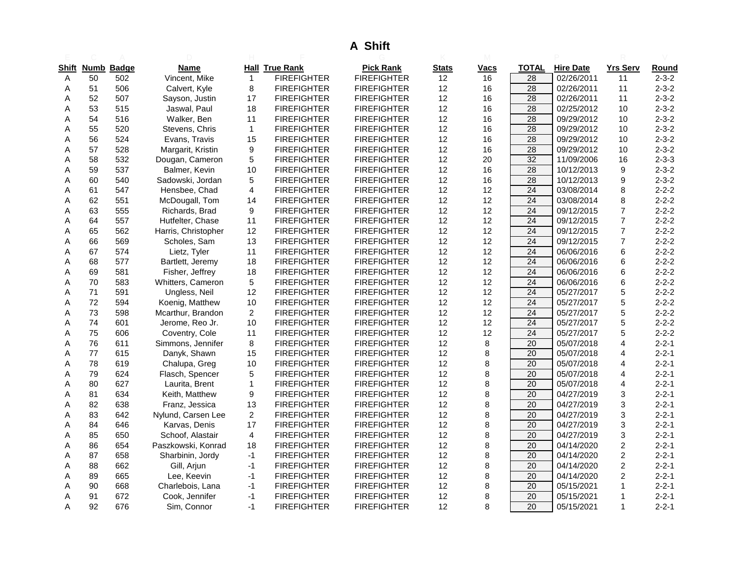# **A Shift**

| <u>Shift</u> |    | Numb Badge | Name                |                | <b>Hall True Rank</b> | <b>Pick Rank</b>   | <b>Stats</b> | Vacs | TOTAL           | <b>Hire Date</b> | <b>Yrs Serv</b>         | Round       |
|--------------|----|------------|---------------------|----------------|-----------------------|--------------------|--------------|------|-----------------|------------------|-------------------------|-------------|
| Α            | 50 | 502        | Vincent, Mike       | $\mathbf{1}$   | <b>FIREFIGHTER</b>    | <b>FIREFIGHTER</b> | 12           | 16   | 28              | 02/26/2011       | 11                      | $2 - 3 - 2$ |
| A            | 51 | 506        | Calvert, Kyle       | 8              | <b>FIREFIGHTER</b>    | <b>FIREFIGHTER</b> | 12           | 16   | 28              | 02/26/2011       | 11                      | $2 - 3 - 2$ |
| Α            | 52 | 507        | Sayson, Justin      | 17             | <b>FIREFIGHTER</b>    | <b>FIREFIGHTER</b> | 12           | 16   | $\overline{28}$ | 02/26/2011       | 11                      | $2 - 3 - 2$ |
| Α            | 53 | 515        | Jaswal, Paul        | 18             | <b>FIREFIGHTER</b>    | <b>FIREFIGHTER</b> | 12           | 16   | 28              | 02/25/2012       | 10                      | $2 - 3 - 2$ |
| A            | 54 | 516        | Walker, Ben         | 11             | <b>FIREFIGHTER</b>    | <b>FIREFIGHTER</b> | 12           | 16   | $\overline{28}$ | 09/29/2012       | 10                      | $2 - 3 - 2$ |
| Α            | 55 | 520        | Stevens, Chris      | $\mathbf{1}$   | <b>FIREFIGHTER</b>    | <b>FIREFIGHTER</b> | 12           | 16   | $\overline{28}$ | 09/29/2012       | $10$                    | $2 - 3 - 2$ |
| A            | 56 | 524        | Evans, Travis       | 15             | <b>FIREFIGHTER</b>    | <b>FIREFIGHTER</b> | 12           | 16   | 28              | 09/29/2012       | 10                      | $2 - 3 - 2$ |
| Α            | 57 | 528        | Margarit, Kristin   | 9              | <b>FIREFIGHTER</b>    | <b>FIREFIGHTER</b> | 12           | 16   | 28              | 09/29/2012       | 10                      | $2 - 3 - 2$ |
| Α            | 58 | 532        | Dougan, Cameron     | 5              | <b>FIREFIGHTER</b>    | <b>FIREFIGHTER</b> | 12           | 20   | 32              | 11/09/2006       | 16                      | $2 - 3 - 3$ |
| A            | 59 | 537        | Balmer, Kevin       | 10             | <b>FIREFIGHTER</b>    | <b>FIREFIGHTER</b> | 12           | 16   | 28              | 10/12/2013       | 9                       | $2 - 3 - 2$ |
| Α            | 60 | 540        | Sadowski, Jordan    | 5              | <b>FIREFIGHTER</b>    | <b>FIREFIGHTER</b> | 12           | 16   | $\overline{28}$ | 10/12/2013       | 9                       | $2 - 3 - 2$ |
| Α            | 61 | 547        | Hensbee, Chad       | 4              | <b>FIREFIGHTER</b>    | <b>FIREFIGHTER</b> | 12           | 12   | 24              | 03/08/2014       | 8                       | $2 - 2 - 2$ |
| Α            | 62 | 551        | McDougall, Tom      | 14             | <b>FIREFIGHTER</b>    | <b>FIREFIGHTER</b> | 12           | 12   | 24              | 03/08/2014       | 8                       | $2 - 2 - 2$ |
| Α            | 63 | 555        | Richards, Brad      | 9              | <b>FIREFIGHTER</b>    | <b>FIREFIGHTER</b> | 12           | 12   | $\overline{24}$ | 09/12/2015       | $\overline{7}$          | $2 - 2 - 2$ |
| Α            | 64 | 557        | Hutfelter, Chase    | 11             | <b>FIREFIGHTER</b>    | <b>FIREFIGHTER</b> | 12           | 12   | 24              | 09/12/2015       | $\overline{7}$          | $2 - 2 - 2$ |
| A            | 65 | 562        | Harris, Christopher | 12             | <b>FIREFIGHTER</b>    | <b>FIREFIGHTER</b> | 12           | 12   | $\overline{24}$ | 09/12/2015       | $\overline{7}$          | $2 - 2 - 2$ |
| Α            | 66 | 569        | Scholes, Sam        | 13             | <b>FIREFIGHTER</b>    | <b>FIREFIGHTER</b> | 12           | 12   | 24              | 09/12/2015       | $\overline{7}$          | $2 - 2 - 2$ |
| Α            | 67 | 574        | Lietz, Tyler        | 11             | <b>FIREFIGHTER</b>    | <b>FIREFIGHTER</b> | 12           | 12   | 24              | 06/06/2016       | 6                       | $2 - 2 - 2$ |
| Α            | 68 | 577        | Bartlett, Jeremy    | 18             | <b>FIREFIGHTER</b>    | <b>FIREFIGHTER</b> | 12           | 12   | 24              | 06/06/2016       | 6                       | $2 - 2 - 2$ |
| A            | 69 | 581        | Fisher, Jeffrey     | 18             | <b>FIREFIGHTER</b>    | <b>FIREFIGHTER</b> | 12           | 12   | 24              | 06/06/2016       | 6                       | $2 - 2 - 2$ |
| Α            | 70 | 583        | Whitters, Cameron   | 5              | <b>FIREFIGHTER</b>    | <b>FIREFIGHTER</b> | 12           | 12   | $\overline{24}$ | 06/06/2016       | 6                       | $2 - 2 - 2$ |
| Α            | 71 | 591        | Ungless, Neil       | 12             | <b>FIREFIGHTER</b>    | <b>FIREFIGHTER</b> | 12           | 12   | 24              | 05/27/2017       | 5                       | $2 - 2 - 2$ |
| Α            | 72 | 594        | Koenig, Matthew     | 10             | <b>FIREFIGHTER</b>    | <b>FIREFIGHTER</b> | 12           | 12   | 24              | 05/27/2017       | 5                       | $2 - 2 - 2$ |
| Α            | 73 | 598        | Mcarthur, Brandon   | $\overline{a}$ | <b>FIREFIGHTER</b>    | <b>FIREFIGHTER</b> | 12           | 12   | 24              | 05/27/2017       | 5                       | $2 - 2 - 2$ |
| Α            | 74 | 601        | Jerome, Reo Jr.     | 10             | <b>FIREFIGHTER</b>    | <b>FIREFIGHTER</b> | 12           | 12   | 24              | 05/27/2017       | 5                       | $2 - 2 - 2$ |
| A            | 75 | 606        | Coventry, Cole      | 11             | <b>FIREFIGHTER</b>    | <b>FIREFIGHTER</b> | 12           | 12   | 24              | 05/27/2017       | 5                       | $2 - 2 - 2$ |
| Α            | 76 | 611        | Simmons, Jennifer   | 8              | <b>FIREFIGHTER</b>    | <b>FIREFIGHTER</b> | 12           | 8    | $\overline{20}$ | 05/07/2018       | $\overline{4}$          | $2 - 2 - 1$ |
| Α            | 77 | 615        | Danyk, Shawn        | 15             | <b>FIREFIGHTER</b>    | <b>FIREFIGHTER</b> | 12           | 8    | 20              | 05/07/2018       | 4                       | $2 - 2 - 1$ |
| Α            | 78 | 619        | Chalupa, Greg       | 10             | <b>FIREFIGHTER</b>    | <b>FIREFIGHTER</b> | 12           | 8    | 20              | 05/07/2018       | 4                       | $2 - 2 - 1$ |
| Α            | 79 | 624        | Flasch, Spencer     | 5              | <b>FIREFIGHTER</b>    | <b>FIREFIGHTER</b> | 12           | 8    | $\overline{20}$ | 05/07/2018       | 4                       | $2 - 2 - 1$ |
| Α            | 80 | 627        | Laurita, Brent      | $\mathbf{1}$   | <b>FIREFIGHTER</b>    | <b>FIREFIGHTER</b> | 12           | 8    | 20              | 05/07/2018       | 4                       | $2 - 2 - 1$ |
| Α            | 81 | 634        | Keith, Matthew      | 9              | <b>FIREFIGHTER</b>    | <b>FIREFIGHTER</b> | 12           | 8    | 20              | 04/27/2019       | 3                       | $2 - 2 - 1$ |
| Α            | 82 | 638        | Franz, Jessica      | 13             | <b>FIREFIGHTER</b>    | <b>FIREFIGHTER</b> | 12           | 8    | 20              | 04/27/2019       | 3                       | $2 - 2 - 1$ |
| Α            | 83 | 642        | Nylund, Carsen Lee  | $\overline{a}$ | <b>FIREFIGHTER</b>    | <b>FIREFIGHTER</b> | 12           | 8    | 20              | 04/27/2019       | 3                       | $2 - 2 - 1$ |
| Α            | 84 | 646        | Karvas, Denis       | 17             | <b>FIREFIGHTER</b>    | <b>FIREFIGHTER</b> | 12           | 8    | 20              | 04/27/2019       | 3                       | $2 - 2 - 1$ |
| Α            | 85 | 650        | Schoof, Alastair    | 4              | <b>FIREFIGHTER</b>    | <b>FIREFIGHTER</b> | 12           | 8    | 20              | 04/27/2019       | 3                       | $2 - 2 - 1$ |
| Α            | 86 | 654        | Paszkowski, Konrad  | 18             | <b>FIREFIGHTER</b>    | <b>FIREFIGHTER</b> | 12           | 8    | $\overline{20}$ | 04/14/2020       | $\overline{\mathbf{c}}$ | $2 - 2 - 1$ |
| Α            | 87 | 658        | Sharbinin, Jordy    | $-1$           | <b>FIREFIGHTER</b>    | <b>FIREFIGHTER</b> | 12           | 8    | 20              | 04/14/2020       | $\overline{\mathbf{c}}$ | $2 - 2 - 1$ |
| A            | 88 | 662        | Gill, Arjun         | $-1$           | <b>FIREFIGHTER</b>    | <b>FIREFIGHTER</b> | 12           | 8    | 20              | 04/14/2020       | $\overline{c}$          | $2 - 2 - 1$ |
| Α            | 89 | 665        | Lee, Keevin         | $-1$           | <b>FIREFIGHTER</b>    | <b>FIREFIGHTER</b> | 12           | 8    | 20              | 04/14/2020       | $\overline{c}$          | $2 - 2 - 1$ |
| A            | 90 | 668        | Charlebois, Lana    | $-1$           | <b>FIREFIGHTER</b>    | <b>FIREFIGHTER</b> | 12           | 8    | 20              | 05/15/2021       | 1                       | $2 - 2 - 1$ |
| Α            | 91 | 672        | Cook, Jennifer      | $-1$           | <b>FIREFIGHTER</b>    | <b>FIREFIGHTER</b> | 12           | 8    | $\overline{20}$ | 05/15/2021       | 1                       | $2 - 2 - 1$ |
| Α            | 92 | 676        | Sim, Connor         | $-1$           | <b>FIREFIGHTER</b>    | <b>FIREFIGHTER</b> | 12           | 8    | 20              | 05/15/2021       | $\mathbf{1}$            | $2 - 2 - 1$ |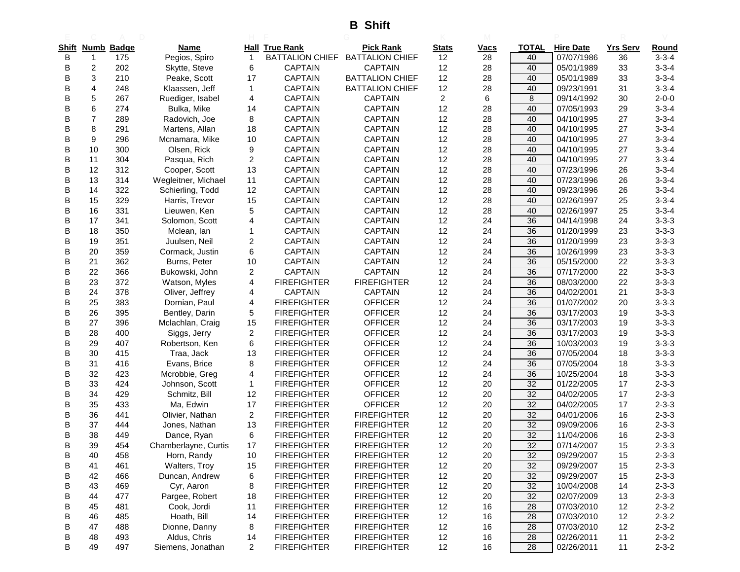**B Shift**

| Shift |                | Numb Badge | Name                 |                | <b>Hall True Rank</b>  | <b>Pick Rank</b>       | <b>Stats</b>            | <b>Vacs</b> | <b>TOTAL</b> | <b>Hire Date</b> | <b>Yrs Serv</b> | Round       |
|-------|----------------|------------|----------------------|----------------|------------------------|------------------------|-------------------------|-------------|--------------|------------------|-----------------|-------------|
| B     | $\mathbf{1}$   | 175        | Pegios, Spiro        | $\mathbf{1}$   | <b>BATTALION CHIEF</b> | <b>BATTALION CHIEF</b> | 12                      | 28          | 40           | 07/07/1986       | 36              | $3 - 3 - 4$ |
| в     | 2              | 202        | Skytte, Steve        | 6              | <b>CAPTAIN</b>         | <b>CAPTAIN</b>         | 12                      | 28          | 40           | 05/01/1989       | 33              | $3 - 3 - 4$ |
| B     | 3              | 210        | Peake, Scott         | 17             | <b>CAPTAIN</b>         | <b>BATTALION CHIEF</b> | 12                      | 28          | 40           | 05/01/1989       | 33              | $3 - 3 - 4$ |
| В     | 4              | 248        | Klaassen, Jeff       | 1              | <b>CAPTAIN</b>         | <b>BATTALION CHIEF</b> | 12                      | 28          | 40           | 09/23/1991       | 31              | $3 - 3 - 4$ |
| В     | 5              | 267        | Ruediger, Isabel     | 4              | <b>CAPTAIN</b>         | <b>CAPTAIN</b>         | $\overline{\mathbf{c}}$ | 6           | 8            | 09/14/1992       | 30              | $2 - 0 - 0$ |
| B     | 6              | 274        | Bulka, Mike          | 14             | <b>CAPTAIN</b>         | <b>CAPTAIN</b>         | 12                      | 28          | 40           | 07/05/1993       | 29              | $3 - 3 - 4$ |
| В     | $\overline{7}$ | 289        | Radovich, Joe        | 8              | <b>CAPTAIN</b>         | <b>CAPTAIN</b>         | 12                      | 28          | 40           | 04/10/1995       | 27              | $3 - 3 - 4$ |
| в     | 8              | 291        | Martens, Allan       | 18             | <b>CAPTAIN</b>         | <b>CAPTAIN</b>         | 12                      | 28          | 40           | 04/10/1995       | 27              | $3 - 3 - 4$ |
| В     | 9              | 296        | Mcnamara, Mike       | 10             | <b>CAPTAIN</b>         | <b>CAPTAIN</b>         | 12                      | 28          | 40           | 04/10/1995       | 27              | $3 - 3 - 4$ |
| В     | 10             | 300        | Olsen, Rick          | 9              | <b>CAPTAIN</b>         | <b>CAPTAIN</b>         | 12                      | 28          | 40           | 04/10/1995       | 27              | $3 - 3 - 4$ |
| В     | 11             | 304        | Pasqua, Rich         | 2              | <b>CAPTAIN</b>         | <b>CAPTAIN</b>         | 12                      | 28          | 40           | 04/10/1995       | 27              | $3 - 3 - 4$ |
| в     | 12             | 312        | Cooper, Scott        | 13             | <b>CAPTAIN</b>         | <b>CAPTAIN</b>         | 12                      | 28          | 40           | 07/23/1996       | 26              | $3 - 3 - 4$ |
| в     | 13             | 314        | Wegleitner, Michael  | 11             | CAPTAIN                | <b>CAPTAIN</b>         | 12                      | 28          | 40           | 07/23/1996       | 26              | $3 - 3 - 4$ |
| В     | 14             | 322        | Schierling, Todd     | 12             | <b>CAPTAIN</b>         | <b>CAPTAIN</b>         | 12                      | 28          | 40           | 09/23/1996       | 26              | $3 - 3 - 4$ |
| B     | 15             | 329        | Harris, Trevor       | 15             | <b>CAPTAIN</b>         | <b>CAPTAIN</b>         | 12                      | 28          | 40           | 02/26/1997       | 25              | $3 - 3 - 4$ |
| В     | 16             | 331        | Lieuwen, Ken         | 5              | <b>CAPTAIN</b>         | <b>CAPTAIN</b>         | 12                      | 28          | 40           | 02/26/1997       | 25              | $3 - 3 - 4$ |
| В     | 17             | 341        | Solomon, Scott       | 4              | <b>CAPTAIN</b>         | <b>CAPTAIN</b>         | 12                      | 24          | 36           | 04/14/1998       | 24              | $3 - 3 - 3$ |
| В     | 18             | 350        | Mclean, Ian          | 1              | <b>CAPTAIN</b>         | <b>CAPTAIN</b>         | 12                      | 24          | 36           | 01/20/1999       | 23              | $3 - 3 - 3$ |
| в     | 19             | 351        | Juulsen, Neil        | 2              | <b>CAPTAIN</b>         | <b>CAPTAIN</b>         | 12                      | 24          | 36           | 01/20/1999       | 23              | $3 - 3 - 3$ |
| В     | 20             | 359        | Cormack, Justin      | 6              | <b>CAPTAIN</b>         | <b>CAPTAIN</b>         | 12                      | 24          | 36           | 10/26/1999       | 23              | $3 - 3 - 3$ |
| В     | 21             | 362        | Burns, Peter         | 10             | <b>CAPTAIN</b>         | <b>CAPTAIN</b>         | 12                      | 24          | 36           | 05/15/2000       | 22              | $3 - 3 - 3$ |
| В     | 22             | 366        | Bukowski, John       | 2              | <b>CAPTAIN</b>         | <b>CAPTAIN</b>         | 12                      | 24          | 36           | 07/17/2000       | 22              | $3 - 3 - 3$ |
| B     | 23             | 372        | Watson, Myles        | 4              | <b>FIREFIGHTER</b>     | <b>FIREFIGHTER</b>     | 12                      | 24          | 36           | 08/03/2000       | 22              | $3 - 3 - 3$ |
| В     | 24             | 378        | Oliver, Jeffrey      | 4              | <b>CAPTAIN</b>         | <b>CAPTAIN</b>         | 12                      | 24          | 36           | 04/02/2001       | 21              | $3 - 3 - 3$ |
| В     | 25             | 383        | Dornian, Paul        | 4              | <b>FIREFIGHTER</b>     | <b>OFFICER</b>         | 12                      | 24          | 36           | 01/07/2002       | 20              | $3 - 3 - 3$ |
| B     | 26             | 395        | Bentley, Darin       | 5              | <b>FIREFIGHTER</b>     | <b>OFFICER</b>         | 12                      | 24          | 36           | 03/17/2003       | 19              | $3 - 3 - 3$ |
| B     | 27             | 396        | Mclachlan, Craig     | 15             | <b>FIREFIGHTER</b>     | <b>OFFICER</b>         | 12                      | 24          | 36           | 03/17/2003       | 19              | $3 - 3 - 3$ |
| В     | 28             | 400        | Siggs, Jerry         | 2              | <b>FIREFIGHTER</b>     | <b>OFFICER</b>         | 12                      | 24          | 36           | 03/17/2003       | 19              | $3 - 3 - 3$ |
| В     | 29             | 407        | Robertson, Ken       | 6              | <b>FIREFIGHTER</b>     | <b>OFFICER</b>         | 12                      | 24          | 36           | 10/03/2003       | 19              | $3 - 3 - 3$ |
| В     | 30             | 415        | Traa, Jack           | 13             | <b>FIREFIGHTER</b>     | <b>OFFICER</b>         | 12                      | 24          | 36           | 07/05/2004       | 18              | $3 - 3 - 3$ |
| В     | 31             | 416        | Evans, Brice         | 8              | <b>FIREFIGHTER</b>     | <b>OFFICER</b>         | 12                      | 24          | 36           | 07/05/2004       | 18              | $3 - 3 - 3$ |
| B     | 32             | 423        | Mcrobbie, Greg       | 4              | <b>FIREFIGHTER</b>     | <b>OFFICER</b>         | 12                      | 24          | 36           | 10/25/2004       | 18              | $3 - 3 - 3$ |
| В     | 33             | 424        | Johnson, Scott       | 1              | <b>FIREFIGHTER</b>     | <b>OFFICER</b>         | 12                      | 20          | 32           | 01/22/2005       | 17              | $2 - 3 - 3$ |
| B     | 34             | 429        | Schmitz, Bill        | 12             | <b>FIREFIGHTER</b>     | <b>OFFICER</b>         | 12                      | 20          | 32           | 04/02/2005       | 17              | $2 - 3 - 3$ |
| В     | 35             | 433        | Ma, Edwin            | 17             | <b>FIREFIGHTER</b>     | <b>OFFICER</b>         | 12                      | 20          | 32           | 04/02/2005       | 17              | $2 - 3 - 3$ |
| В     | 36             | 441        | Olivier, Nathan      | $\overline{2}$ | <b>FIREFIGHTER</b>     | <b>FIREFIGHTER</b>     | 12                      | 20          | 32           | 04/01/2006       | 16              | $2 - 3 - 3$ |
| В     | 37             | 444        | Jones, Nathan        | 13             | <b>FIREFIGHTER</b>     | <b>FIREFIGHTER</b>     | 12                      | 20          | 32           | 09/09/2006       | 16              | $2 - 3 - 3$ |
| В     | 38             | 449        | Dance, Ryan          | 6              | <b>FIREFIGHTER</b>     | <b>FIREFIGHTER</b>     | 12                      | 20          | 32           | 11/04/2006       | 16              | $2 - 3 - 3$ |
|       | 39             | 454        | Chamberlayne, Curtis | 17             | <b>FIREFIGHTER</b>     | <b>FIREFIGHTER</b>     | 12                      | 20          | 32           | 07/14/2007       | 15              | $2 - 3 - 3$ |
| В     | 40             | 458        | Horn, Randy          | 10             | <b>FIREFIGHTER</b>     | <b>FIREFIGHTER</b>     | 12                      | 20          | 32           | 09/29/2007       | 15              | $2 - 3 - 3$ |
| В     | 41             | 461        | Walters, Troy        | 15             | <b>FIREFIGHTER</b>     | <b>FIREFIGHTER</b>     | 12                      | 20          | 32           | 09/29/2007       | 15              | $2 - 3 - 3$ |
| В     | 42             | 466        | Duncan, Andrew       | 6              | <b>FIREFIGHTER</b>     | <b>FIREFIGHTER</b>     | 12                      | 20          | 32           | 09/29/2007       | 15              | $2 - 3 - 3$ |
| в     | 43             | 469        | Cyr, Aaron           | 8              | <b>FIREFIGHTER</b>     | <b>FIREFIGHTER</b>     | 12                      | 20          | 32           | 10/04/2008       | 14              | $2 - 3 - 3$ |
| В     | 44             | 477        | Pargee, Robert       | 18             | <b>FIREFIGHTER</b>     | <b>FIREFIGHTER</b>     | 12                      | 20          | 32           | 02/07/2009       | 13              | $2 - 3 - 3$ |
| в     | 45             | 481        | Cook, Jordi          | 11             | <b>FIREFIGHTER</b>     | <b>FIREFIGHTER</b>     | 12                      | 16          | 28           | 07/03/2010       | 12              | $2 - 3 - 2$ |
| В     | 46             | 485        | Hoath, Bill          | 14             | <b>FIREFIGHTER</b>     | <b>FIREFIGHTER</b>     | 12                      | 16          | 28           | 07/03/2010       | 12              | $2 - 3 - 2$ |
| В     | 47             | 488        | Dionne, Danny        | 8              | <b>FIREFIGHTER</b>     | <b>FIREFIGHTER</b>     | 12                      | 16          | 28           | 07/03/2010       | 12              | $2 - 3 - 2$ |
| в     | 48             | 493        | Aldus, Chris         | 14             | <b>FIREFIGHTER</b>     | <b>FIREFIGHTER</b>     | 12                      | 16          | 28           | 02/26/2011       | 11              | $2 - 3 - 2$ |
| В     | 49             | 497        | Siemens, Jonathan    | 2              | <b>FIREFIGHTER</b>     | <b>FIREFIGHTER</b>     | 12                      | 16          | 28           | 02/26/2011       | 11              | $2 - 3 - 2$ |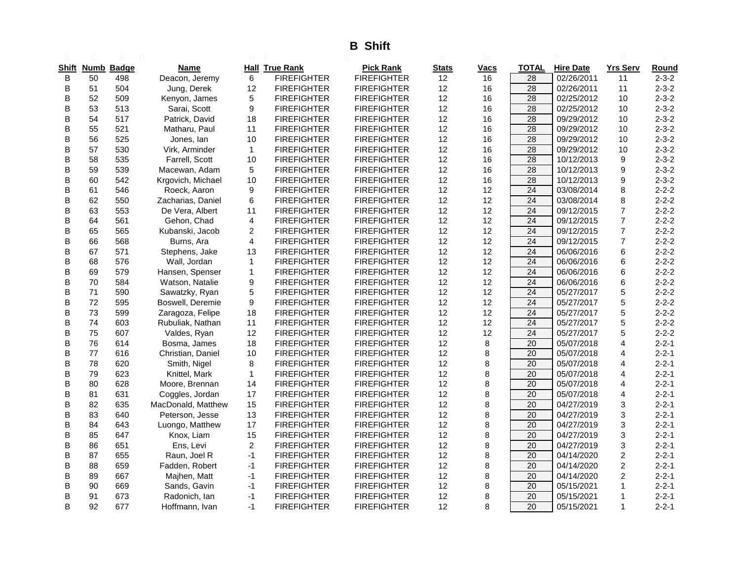# **B Shift**

| Shift | Numb | <b>Badge</b> | Name               |                | <b>Hall True Rank</b> | <b>Pick Rank</b>   | Stats | Vacs | TOTAL           | <b>Hire Date</b> | <b>Yrs Serv</b> | <u>Round</u> |
|-------|------|--------------|--------------------|----------------|-----------------------|--------------------|-------|------|-----------------|------------------|-----------------|--------------|
| B     | 50   | 498          | Deacon, Jeremy     | 6              | <b>FIREFIGHTER</b>    | <b>FIREFIGHTER</b> | 12    | 16   | 28              | 02/26/2011       | 11              | $2 - 3 - 2$  |
| B     | 51   | 504          | Jung, Derek        | 12             | <b>FIREFIGHTER</b>    | <b>FIREFIGHTER</b> | 12    | 16   | 28              | 02/26/2011       | 11              | $2 - 3 - 2$  |
| B     | 52   | 509          | Kenyon, James      | 5              | <b>FIREFIGHTER</b>    | <b>FIREFIGHTER</b> | 12    | 16   | $\overline{28}$ | 02/25/2012       | 10              | $2 - 3 - 2$  |
| B     | 53   | 513          | Sarai, Scott       | 9              | <b>FIREFIGHTER</b>    | <b>FIREFIGHTER</b> | 12    | 16   | 28              | 02/25/2012       | 10              | $2 - 3 - 2$  |
| В     | 54   | 517          | Patrick, David     | 18             | <b>FIREFIGHTER</b>    | <b>FIREFIGHTER</b> | 12    | 16   | 28              | 09/29/2012       | 10              | $2 - 3 - 2$  |
| В     | 55   | 521          | Matharu, Paul      | 11             | <b>FIREFIGHTER</b>    | <b>FIREFIGHTER</b> | 12    | 16   | $\overline{28}$ | 09/29/2012       | 10              | $2 - 3 - 2$  |
| B     | 56   | 525          | Jones, lan         | 10             | <b>FIREFIGHTER</b>    | <b>FIREFIGHTER</b> | 12    | 16   | 28              | 09/29/2012       | 10              | $2 - 3 - 2$  |
| B     | 57   | 530          | Virk, Arminder     | $\mathbf{1}$   | <b>FIREFIGHTER</b>    | <b>FIREFIGHTER</b> | 12    | 16   | 28              | 09/29/2012       | 10              | $2 - 3 - 2$  |
| B     | 58   | 535          | Farrell, Scott     | 10             | <b>FIREFIGHTER</b>    | <b>FIREFIGHTER</b> | 12    | 16   | 28              | 10/12/2013       | 9               | $2 - 3 - 2$  |
| B     | 59   | 539          | Macewan, Adam      | 5              | <b>FIREFIGHTER</b>    | <b>FIREFIGHTER</b> | 12    | 16   | 28              | 10/12/2013       | 9               | $2 - 3 - 2$  |
| B     | 60   | 542          | Krgovich, Michael  | 10             | <b>FIREFIGHTER</b>    | <b>FIREFIGHTER</b> | 12    | 16   | 28              | 10/12/2013       | 9               | $2 - 3 - 2$  |
| в     | 61   | 546          | Roeck, Aaron       | 9              | <b>FIREFIGHTER</b>    | <b>FIREFIGHTER</b> | 12    | 12   | $\overline{24}$ | 03/08/2014       | 8               | $2 - 2 - 2$  |
| B     | 62   | 550          | Zacharias, Daniel  | 6              | <b>FIREFIGHTER</b>    | <b>FIREFIGHTER</b> | 12    | 12   | 24              | 03/08/2014       | 8               | $2 - 2 - 2$  |
| B     | 63   | 553          | De Vera, Albert    | 11             | <b>FIREFIGHTER</b>    | <b>FIREFIGHTER</b> | 12    | 12   | 24              | 09/12/2015       | $\overline{7}$  | $2 - 2 - 2$  |
| B     | 64   | 561          | Gehon, Chad        | 4              | <b>FIREFIGHTER</b>    | <b>FIREFIGHTER</b> | 12    | 12   | $\overline{24}$ | 09/12/2015       | $\overline{7}$  | $2 - 2 - 2$  |
| B     | 65   | 565          | Kubanski, Jacob    | $\overline{c}$ | <b>FIREFIGHTER</b>    | <b>FIREFIGHTER</b> | 12    | 12   | $\overline{24}$ | 09/12/2015       | $\overline{7}$  | $2 - 2 - 2$  |
| B     | 66   | 568          | Burns, Ara         | $\overline{4}$ | <b>FIREFIGHTER</b>    | <b>FIREFIGHTER</b> | 12    | 12   | 24              | 09/12/2015       | $\overline{7}$  | $2 - 2 - 2$  |
| В     | 67   | 571          | Stephens, Jake     | 13             | <b>FIREFIGHTER</b>    | <b>FIREFIGHTER</b> | 12    | 12   | 24              | 06/06/2016       | 6               | $2 - 2 - 2$  |
| B     | 68   | 576          | Wall, Jordan       | $\mathbf{1}$   | <b>FIREFIGHTER</b>    | <b>FIREFIGHTER</b> | 12    | 12   | $\overline{24}$ | 06/06/2016       | 6               | $2 - 2 - 2$  |
| B     | 69   | 579          | Hansen, Spenser    | $\mathbf{1}$   | <b>FIREFIGHTER</b>    | <b>FIREFIGHTER</b> | 12    | 12   | 24              | 06/06/2016       | 6               | $2 - 2 - 2$  |
| В     | 70   | 584          | Watson, Natalie    | 9              | <b>FIREFIGHTER</b>    | <b>FIREFIGHTER</b> | 12    | 12   | 24              | 06/06/2016       | 6               | $2 - 2 - 2$  |
| B     | 71   | 590          | Sawatzky, Ryan     | 5              | <b>FIREFIGHTER</b>    | <b>FIREFIGHTER</b> | 12    | 12   | $\overline{24}$ | 05/27/2017       | 5               | $2 - 2 - 2$  |
| B     | 72   | 595          | Boswell, Deremie   | 9              | <b>FIREFIGHTER</b>    | <b>FIREFIGHTER</b> | 12    | 12   | 24              | 05/27/2017       | 5               | $2 - 2 - 2$  |
| B     | 73   | 599          | Zaragoza, Felipe   | 18             | <b>FIREFIGHTER</b>    | <b>FIREFIGHTER</b> | 12    | 12   | 24              | 05/27/2017       | 5               | $2 - 2 - 2$  |
| В     | 74   | 603          | Rubuliak, Nathan   | 11             | <b>FIREFIGHTER</b>    | <b>FIREFIGHTER</b> | 12    | 12   | 24              | 05/27/2017       | 5               | $2 - 2 - 2$  |
| В     | 75   | 607          | Valdes, Ryan       | 12             | <b>FIREFIGHTER</b>    | <b>FIREFIGHTER</b> | 12    | 12   | 24              | 05/27/2017       | 5               | $2 - 2 - 2$  |
| В     | 76   | 614          | Bosma, James       | 18             | <b>FIREFIGHTER</b>    | <b>FIREFIGHTER</b> | 12    | 8    | 20              | 05/07/2018       | $\overline{4}$  | $2 - 2 - 1$  |
| В     | 77   | 616          | Christian, Daniel  | 10             | <b>FIREFIGHTER</b>    | <b>FIREFIGHTER</b> | 12    | 8    | 20              | 05/07/2018       | $\overline{4}$  | $2 - 2 - 1$  |
| B     | 78   | 620          | Smith, Nigel       | 8              | <b>FIREFIGHTER</b>    | <b>FIREFIGHTER</b> | 12    | 8    | 20              | 05/07/2018       | $\overline{4}$  | $2 - 2 - 1$  |
| В     | 79   | 623          | Knittel, Mark      | $\mathbf 1$    | <b>FIREFIGHTER</b>    | <b>FIREFIGHTER</b> | 12    | 8    | 20              | 05/07/2018       | $\overline{4}$  | $2 - 2 - 1$  |
| B     | 80   | 628          | Moore, Brennan     | 14             | <b>FIREFIGHTER</b>    | <b>FIREFIGHTER</b> | 12    | 8    | 20              | 05/07/2018       | $\overline{4}$  | $2 - 2 - 1$  |
| B     | 81   | 631          | Coggles, Jordan    | 17             | <b>FIREFIGHTER</b>    | <b>FIREFIGHTER</b> | 12    | 8    | 20              | 05/07/2018       | $\overline{4}$  | $2 - 2 - 1$  |
| B     | 82   | 635          | MacDonald, Matthew | 15             | <b>FIREFIGHTER</b>    | <b>FIREFIGHTER</b> | 12    | 8    | 20              | 04/27/2019       | 3               | $2 - 2 - 1$  |
| в     | 83   | 640          | Peterson, Jesse    | 13             | <b>FIREFIGHTER</b>    | <b>FIREFIGHTER</b> | 12    | 8    | 20              | 04/27/2019       | 3               | $2 - 2 - 1$  |
| B     | 84   | 643          | Luongo, Matthew    | 17             | <b>FIREFIGHTER</b>    | <b>FIREFIGHTER</b> | 12    | 8    | 20              | 04/27/2019       | 3               | $2 - 2 - 1$  |
| B     | 85   | 647          | Knox, Liam         | 15             | <b>FIREFIGHTER</b>    | <b>FIREFIGHTER</b> | 12    | 8    | 20              | 04/27/2019       | 3               | $2 - 2 - 1$  |
| B     | 86   | 651          | Ens, Levi          | 2              | <b>FIREFIGHTER</b>    | <b>FIREFIGHTER</b> | 12    | 8    | 20              | 04/27/2019       | 3               | $2 - 2 - 1$  |
| B     | 87   | 655          | Raun, Joel R       | $-1$           | <b>FIREFIGHTER</b>    | <b>FIREFIGHTER</b> | 12    | 8    | 20              | 04/14/2020       | $\overline{c}$  | $2 - 2 - 1$  |
| В     | 88   | 659          | Fadden, Robert     | $-1$           | <b>FIREFIGHTER</b>    | <b>FIREFIGHTER</b> | 12    | 8    | 20              | 04/14/2020       | 2               | $2 - 2 - 1$  |
| B     | 89   | 667          | Majhen, Matt       | $-1$           | <b>FIREFIGHTER</b>    | <b>FIREFIGHTER</b> | 12    | 8    | 20              | 04/14/2020       | $\overline{c}$  | $2 - 2 - 1$  |
| B     | 90   | 669          | Sands, Gavin       | $-1$           | <b>FIREFIGHTER</b>    | <b>FIREFIGHTER</b> | 12    | 8    | 20              | 05/15/2021       | $\mathbf{1}$    | $2 - 2 - 1$  |
| B     | 91   | 673          | Radonich, Ian      | $-1$           | <b>FIREFIGHTER</b>    | <b>FIREFIGHTER</b> | 12    | 8    | 20              | 05/15/2021       | 1               | $2 - 2 - 1$  |
| B     | 92   | 677          | Hoffmann, Ivan     | $-1$           | <b>FIREFIGHTER</b>    | <b>FIREFIGHTER</b> | 12    | 8    | 20              | 05/15/2021       | 1               | $2 - 2 - 1$  |
|       |      |              |                    |                |                       |                    |       |      |                 |                  |                 |              |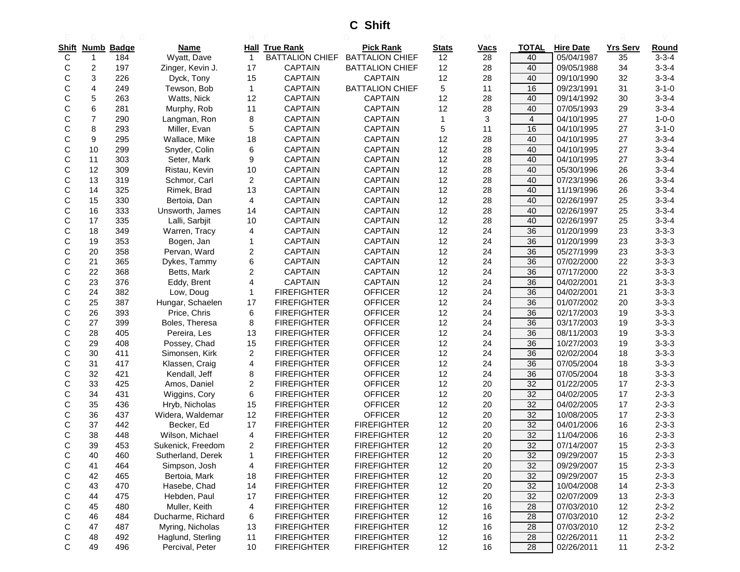**C Shift**

| Shift |                  | <b>Numb Badge</b> | <b>Name</b>       |                         | <b>Hall True Rank</b>  | <b>Pick Rank</b>       | <b>Stats</b> | <b>Vacs</b> | <b>TOTAL</b>    | <b>Hire Date</b> | <b>Yrs Serv</b> | Round       |
|-------|------------------|-------------------|-------------------|-------------------------|------------------------|------------------------|--------------|-------------|-----------------|------------------|-----------------|-------------|
| С     | 1                | 184               | Wyatt, Dave       | $\overline{1}$          | <b>BATTALION CHIEF</b> | <b>BATTALION CHIEF</b> | 12           | 28          | 40              | 05/04/1987       | 35              | $3 - 3 - 4$ |
| С     | $\boldsymbol{2}$ | 197               | Zinger, Kevin J.  | 17                      | <b>CAPTAIN</b>         | <b>BATTALION CHIEF</b> | 12           | 28          | 40              | 09/05/1988       | 34              | $3 - 3 - 4$ |
| С     | 3                | 226               | Dyck, Tony        | 15                      | <b>CAPTAIN</b>         | <b>CAPTAIN</b>         | 12           | 28          | 40              | 09/10/1990       | 32              | $3 - 3 - 4$ |
| С     | 4                | 249               | Tewson, Bob       | $\mathbf{1}$            | <b>CAPTAIN</b>         | <b>BATTALION CHIEF</b> | 5            | 11          | 16              | 09/23/1991       | 31              | $3 - 1 - 0$ |
| С     | 5                | 263               | Watts, Nick       | 12                      | <b>CAPTAIN</b>         | <b>CAPTAIN</b>         | 12           | 28          | 40              | 09/14/1992       | 30              | $3 - 3 - 4$ |
| С     | 6                | 281               | Murphy, Rob       | 11                      | <b>CAPTAIN</b>         | <b>CAPTAIN</b>         | 12           | 28          | 40              | 07/05/1993       | 29              | $3 - 3 - 4$ |
| С     | 7                | 290               | Langman, Ron      | 8                       | <b>CAPTAIN</b>         | <b>CAPTAIN</b>         | $\mathbf{1}$ | 3           | $\overline{4}$  | 04/10/1995       | 27              | $1 - 0 - 0$ |
| С     | 8                | 293               | Miller, Evan      | 5                       | <b>CAPTAIN</b>         | <b>CAPTAIN</b>         | 5            | 11          | 16              | 04/10/1995       | 27              | $3 - 1 - 0$ |
| С     | 9                | 295               | Wallace, Mike     | 18                      | <b>CAPTAIN</b>         | <b>CAPTAIN</b>         | 12           | 28          | 40              | 04/10/1995       | 27              | $3 - 3 - 4$ |
| С     | 10               | 299               | Snyder, Colin     | 6                       | <b>CAPTAIN</b>         | <b>CAPTAIN</b>         | 12           | 28          | 40              | 04/10/1995       | 27              | $3 - 3 - 4$ |
| С     | 11               | 303               | Seter, Mark       | 9                       | <b>CAPTAIN</b>         | <b>CAPTAIN</b>         | 12           | 28          | 40              | 04/10/1995       | 27              | $3 - 3 - 4$ |
| С     | 12               | 309               | Ristau, Kevin     | 10                      | <b>CAPTAIN</b>         | CAPTAIN                | 12           | 28          | 40              | 05/30/1996       | 26              | $3 - 3 - 4$ |
| С     | 13               | 319               | Schmor, Carl      | $\overline{c}$          | <b>CAPTAIN</b>         | <b>CAPTAIN</b>         | 12           | 28          | 40              | 07/23/1996       | 26              | $3 - 3 - 4$ |
| С     | 14               | 325               | Rimek, Brad       | 13                      | <b>CAPTAIN</b>         | <b>CAPTAIN</b>         | 12           | 28          | 40              | 11/19/1996       | 26              | $3 - 3 - 4$ |
| С     | 15               | 330               | Bertoia, Dan      | 4                       | <b>CAPTAIN</b>         | <b>CAPTAIN</b>         | 12           | 28          | 40              | 02/26/1997       | 25              | $3 - 3 - 4$ |
| С     | 16               | 333               | Unsworth, James   | 14                      | <b>CAPTAIN</b>         | <b>CAPTAIN</b>         | 12           | 28          | 40              | 02/26/1997       | 25              | $3 - 3 - 4$ |
| С     | 17               | 335               | Lalli, Sarbjit    | 10                      | <b>CAPTAIN</b>         | <b>CAPTAIN</b>         | 12           | 28          | 40              | 02/26/1997       | 25              | $3 - 3 - 4$ |
| С     | 18               | 349               | Warren, Tracy     | 4                       | <b>CAPTAIN</b>         | <b>CAPTAIN</b>         | 12           | 24          | 36              | 01/20/1999       | 23              | $3 - 3 - 3$ |
| С     | 19               | 353               | Bogen, Jan        | $\mathbf{1}$            | <b>CAPTAIN</b>         | <b>CAPTAIN</b>         | 12           | 24          | 36              | 01/20/1999       | 23              | $3 - 3 - 3$ |
| С     | 20               | 358               | Pervan, Ward      | $\overline{c}$          | <b>CAPTAIN</b>         | <b>CAPTAIN</b>         | 12           | 24          | 36              | 05/27/1999       | 23              | $3 - 3 - 3$ |
| С     | 21               | 365               | Dykes, Tammy      | 6                       | <b>CAPTAIN</b>         | <b>CAPTAIN</b>         | 12           | 24          | 36              | 07/02/2000       | 22              | $3 - 3 - 3$ |
| С     | 22               | 368               | Betts, Mark       | 2                       | <b>CAPTAIN</b>         | <b>CAPTAIN</b>         | 12           | 24          | 36              | 07/17/2000       | 22              | $3 - 3 - 3$ |
| С     | 23               | 376               | Eddy, Brent       | 4                       | <b>CAPTAIN</b>         | <b>CAPTAIN</b>         | 12           | 24          | 36              | 04/02/2001       | 21              | $3 - 3 - 3$ |
| С     | 24               | 382               | Low, Doug         | 1                       | <b>FIREFIGHTER</b>     | <b>OFFICER</b>         | 12           | 24          | 36              | 04/02/2001       | 21              | $3 - 3 - 3$ |
| С     | 25               | 387               | Hungar, Schaelen  | 17                      | <b>FIREFIGHTER</b>     | <b>OFFICER</b>         | 12           | 24          | 36              | 01/07/2002       | 20              | $3 - 3 - 3$ |
| С     | 26               | 393               | Price, Chris      | 6                       | <b>FIREFIGHTER</b>     | <b>OFFICER</b>         | 12           | 24          | 36              | 02/17/2003       | 19              | $3 - 3 - 3$ |
| С     | 27               | 399               | Boles, Theresa    | 8                       | <b>FIREFIGHTER</b>     | <b>OFFICER</b>         | 12           | 24          | 36              | 03/17/2003       | 19              | $3 - 3 - 3$ |
| С     | 28               | 405               | Pereira, Les      | 13                      | <b>FIREFIGHTER</b>     | <b>OFFICER</b>         | 12           | 24          | 36              | 08/11/2003       | 19              | $3 - 3 - 3$ |
| С     | 29               | 408               | Possey, Chad      | 15                      | <b>FIREFIGHTER</b>     | <b>OFFICER</b>         | 12           | 24          | 36              | 10/27/2003       | 19              | $3 - 3 - 3$ |
| С     | 30               | 411               | Simonsen, Kirk    | 2                       | <b>FIREFIGHTER</b>     | <b>OFFICER</b>         | 12           | 24          | 36              | 02/02/2004       | 18              | $3 - 3 - 3$ |
| С     | 31               | 417               | Klassen, Craig    | 4                       | <b>FIREFIGHTER</b>     | <b>OFFICER</b>         | 12           | 24          | 36              | 07/05/2004       | 18              | $3 - 3 - 3$ |
| С     | 32               | 421               | Kendall, Jeff     | 8                       | <b>FIREFIGHTER</b>     | <b>OFFICER</b>         | 12           | 24          | 36              | 07/05/2004       | 18              | $3 - 3 - 3$ |
| С     | 33               | 425               | Amos, Daniel      | 2                       | <b>FIREFIGHTER</b>     | <b>OFFICER</b>         | 12           | 20          | 32              | 01/22/2005       | 17              | $2 - 3 - 3$ |
| С     | 34               | 431               | Wiggins, Cory     | 6                       | <b>FIREFIGHTER</b>     | <b>OFFICER</b>         | 12           | 20          | 32              | 04/02/2005       | 17              | $2 - 3 - 3$ |
| С     | 35               | 436               | Hryb, Nicholas    | 15                      | <b>FIREFIGHTER</b>     | <b>OFFICER</b>         | 12           | 20          | 32              | 04/02/2005       | 17              | $2 - 3 - 3$ |
| С     | 36               | 437               | Widera, Waldemar  | 12                      | <b>FIREFIGHTER</b>     | <b>OFFICER</b>         | 12           | 20          | 32              | 10/08/2005       | 17              | $2 - 3 - 3$ |
| С     | 37               | 442               | Becker, Ed        | 17                      | <b>FIREFIGHTER</b>     | <b>FIREFIGHTER</b>     | 12           | 20          | 32              | 04/01/2006       | 16              | $2 - 3 - 3$ |
| С     | 38               | 448               | Wilson, Michael   | $\overline{\mathbf{4}}$ | <b>FIREFIGHTER</b>     | <b>FIREFIGHTER</b>     | 12           | 20          | 32              | 11/04/2006       | 16              | $2 - 3 - 3$ |
| C     | 39               | 453               | Sukenick, Freedom | 2                       | <b>FIREFIGHTER</b>     | <b>FIREFIGHTER</b>     | 12           | 20          | $\overline{32}$ | 07/14/2007       | 15              | $2 - 3 - 3$ |
| С     | 40               | 460               | Sutherland, Derek | $\mathbf{1}$            | <b>FIREFIGHTER</b>     | <b>FIREFIGHTER</b>     | 12           | $20\,$      | 32              | 09/29/2007       | 15              | $2 - 3 - 3$ |
| С     | 41               | 464               | Simpson, Josh     | 4                       | <b>FIREFIGHTER</b>     | <b>FIREFIGHTER</b>     | 12           | $20\,$      | 32              | 09/29/2007       | 15              | $2 - 3 - 3$ |
| С     | 42               | 465               | Bertoia, Mark     | 18                      | <b>FIREFIGHTER</b>     | <b>FIREFIGHTER</b>     | 12           | $20\,$      | 32              | 09/29/2007       | 15              | $2 - 3 - 3$ |
| С     | 43               | 470               | Hasebe, Chad      | 14                      | <b>FIREFIGHTER</b>     | <b>FIREFIGHTER</b>     | 12           | $20\,$      | 32              | 10/04/2008       | 14              | $2 - 3 - 3$ |
| С     | 44               | 475               | Hebden, Paul      | 17                      | <b>FIREFIGHTER</b>     | <b>FIREFIGHTER</b>     | 12           | $20\,$      | 32              | 02/07/2009       | 13              | $2 - 3 - 3$ |
| С     | 45               | 480               | Muller, Keith     | 4                       | <b>FIREFIGHTER</b>     | <b>FIREFIGHTER</b>     | 12           | 16          | 28              | 07/03/2010       | 12              | $2 - 3 - 2$ |
| С     | 46               | 484               | Ducharme, Richard | 6                       | <b>FIREFIGHTER</b>     | <b>FIREFIGHTER</b>     | 12           | 16          | 28              | 07/03/2010       | 12              | $2 - 3 - 2$ |
| С     | 47               | 487               | Myring, Nicholas  | 13                      | <b>FIREFIGHTER</b>     | <b>FIREFIGHTER</b>     | 12           | 16          | 28              | 07/03/2010       | 12              | $2 - 3 - 2$ |
| С     | 48               | 492               | Haglund, Sterling | 11                      | <b>FIREFIGHTER</b>     | <b>FIREFIGHTER</b>     | 12           | 16          | 28              | 02/26/2011       | 11              | $2 - 3 - 2$ |
| С     | 49               | 496               | Percival, Peter   | 10                      | <b>FIREFIGHTER</b>     | <b>FIREFIGHTER</b>     | 12           | 16          | 28              | 02/26/2011       | 11              | $2 - 3 - 2$ |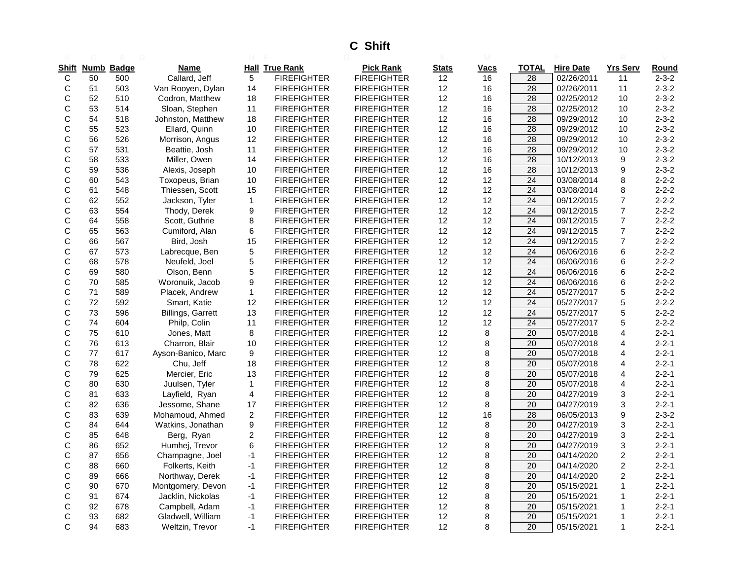# **C Shift**

|              |    | Shift Numb Badge | <b>Name</b>              |                | <b>Hall True Rank</b> | <b>Pick Rank</b>   | <b>Stats</b> | Vacs | TOTAL           | <b>Hire Date</b> | <b>Yrs Serv</b>  | Round       |
|--------------|----|------------------|--------------------------|----------------|-----------------------|--------------------|--------------|------|-----------------|------------------|------------------|-------------|
| C            | 50 | 500              | Callard, Jeff            | 5              | <b>FIREFIGHTER</b>    | <b>FIREFIGHTER</b> | 12           | 16   | 28              | 02/26/2011       | 11               | $2 - 3 - 2$ |
| C            | 51 | 503              | Van Rooyen, Dylan        | 14             | <b>FIREFIGHTER</b>    | <b>FIREFIGHTER</b> | 12           | 16   | 28              | 02/26/2011       | 11               | $2 - 3 - 2$ |
| C            | 52 | 510              | Codron, Matthew          | 18             | <b>FIREFIGHTER</b>    | <b>FIREFIGHTER</b> | 12           | 16   | 28              | 02/25/2012       | 10               | $2 - 3 - 2$ |
| С            | 53 | 514              | Sloan, Stephen           | 11             | <b>FIREFIGHTER</b>    | <b>FIREFIGHTER</b> | 12           | 16   | $\overline{28}$ | 02/25/2012       | 10               | $2 - 3 - 2$ |
| C            | 54 | 518              | Johnston, Matthew        | 18             | <b>FIREFIGHTER</b>    | <b>FIREFIGHTER</b> | 12           | 16   | 28              | 09/29/2012       | 10               | $2 - 3 - 2$ |
| С            | 55 | 523              | Ellard, Quinn            | 10             | <b>FIREFIGHTER</b>    | <b>FIREFIGHTER</b> | 12           | 16   | $\overline{28}$ | 09/29/2012       | 10               | $2 - 3 - 2$ |
| C            | 56 | 526              | Morrison, Angus          | 12             | <b>FIREFIGHTER</b>    | <b>FIREFIGHTER</b> | 12           | 16   | 28              | 09/29/2012       | 10               | $2 - 3 - 2$ |
| C            | 57 | 531              | Beattie, Josh            | 11             | <b>FIREFIGHTER</b>    | <b>FIREFIGHTER</b> | 12           | 16   | 28              | 09/29/2012       | 10               | $2 - 3 - 2$ |
| C            | 58 | 533              | Miller, Owen             | 14             | <b>FIREFIGHTER</b>    | <b>FIREFIGHTER</b> | 12           | 16   | 28              | 10/12/2013       | 9                | $2 - 3 - 2$ |
| С            | 59 | 536              | Alexis, Joseph           | 10             | <b>FIREFIGHTER</b>    | <b>FIREFIGHTER</b> | 12           | 16   | 28              | 10/12/2013       | 9                | $2 - 3 - 2$ |
| C            | 60 | 543              | Toxopeus, Brian          | 10             | <b>FIREFIGHTER</b>    | <b>FIREFIGHTER</b> | 12           | 12   | 24              | 03/08/2014       | 8                | $2 - 2 - 2$ |
| C            | 61 | 548              | Thiessen, Scott          | 15             | <b>FIREFIGHTER</b>    | <b>FIREFIGHTER</b> | 12           | 12   | 24              | 03/08/2014       | 8                | $2 - 2 - 2$ |
| C            | 62 | 552              | Jackson, Tyler           | $\mathbf{1}$   | <b>FIREFIGHTER</b>    | <b>FIREFIGHTER</b> | 12           | 12   | 24              | 09/12/2015       | $\overline{7}$   | $2 - 2 - 2$ |
| С            | 63 | 554              | Thody, Derek             | 9              | <b>FIREFIGHTER</b>    | <b>FIREFIGHTER</b> | 12           | 12   | 24              | 09/12/2015       | $\overline{7}$   | $2 - 2 - 2$ |
| C            | 64 | 558              | Scott, Guthrie           | 8              | <b>FIREFIGHTER</b>    | <b>FIREFIGHTER</b> | 12           | 12   | 24              | 09/12/2015       | $\boldsymbol{7}$ | $2 - 2 - 2$ |
| С            | 65 | 563              | Cumiford, Alan           | 6              | <b>FIREFIGHTER</b>    | <b>FIREFIGHTER</b> | 12           | 12   | 24              | 09/12/2015       | $\overline{7}$   | $2 - 2 - 2$ |
| C            | 66 | 567              | Bird, Josh               | 15             | <b>FIREFIGHTER</b>    | <b>FIREFIGHTER</b> | 12           | 12   | 24              | 09/12/2015       | $\overline{7}$   | $2 - 2 - 2$ |
| C            | 67 | 573              | Labrecque, Ben           | 5              | <b>FIREFIGHTER</b>    | <b>FIREFIGHTER</b> | 12           | 12   | 24              | 06/06/2016       | 6                | $2 - 2 - 2$ |
| С            | 68 | 578              | Neufeld, Joel            | 5              | <b>FIREFIGHTER</b>    | <b>FIREFIGHTER</b> | 12           | 12   | $\overline{24}$ | 06/06/2016       | 6                | $2 - 2 - 2$ |
| $\mathsf{C}$ | 69 | 580              | Olson, Benn              | 5              | <b>FIREFIGHTER</b>    | <b>FIREFIGHTER</b> | 12           | 12   | 24              | 06/06/2016       | 6                | $2 - 2 - 2$ |
| C            | 70 | 585              | Woronuik, Jacob          | 9              | <b>FIREFIGHTER</b>    | <b>FIREFIGHTER</b> | 12           | 12   | $\overline{24}$ | 06/06/2016       | 6                | $2 - 2 - 2$ |
| $\mathsf{C}$ | 71 | 589              | Placek, Andrew           | $\mathbf 1$    | <b>FIREFIGHTER</b>    | <b>FIREFIGHTER</b> | 12           | 12   | $\overline{24}$ | 05/27/2017       | 5                | $2 - 2 - 2$ |
| C            | 72 | 592              | Smart, Katie             | 12             | <b>FIREFIGHTER</b>    | <b>FIREFIGHTER</b> | 12           | 12   | 24              | 05/27/2017       | 5                | $2 - 2 - 2$ |
| C            | 73 | 596              | <b>Billings, Garrett</b> | 13             | <b>FIREFIGHTER</b>    | <b>FIREFIGHTER</b> | 12           | 12   | 24              | 05/27/2017       | 5                | $2 - 2 - 2$ |
| C            | 74 | 604              | Philp, Colin             | 11             | <b>FIREFIGHTER</b>    | <b>FIREFIGHTER</b> | 12           | 12   | 24              | 05/27/2017       | 5                | $2 - 2 - 2$ |
| $\mathsf{C}$ | 75 | 610              | Jones, Matt              | 8              | <b>FIREFIGHTER</b>    | <b>FIREFIGHTER</b> | 12           | 8    | 20              | 05/07/2018       | $\overline{4}$   | $2 - 2 - 1$ |
| C            | 76 | 613              | Charron, Blair           | 10             | <b>FIREFIGHTER</b>    | <b>FIREFIGHTER</b> | 12           | 8    | 20              | 05/07/2018       | $\overline{4}$   | $2 - 2 - 1$ |
| C            | 77 | 617              | Ayson-Banico, Marc       | 9              | <b>FIREFIGHTER</b>    | <b>FIREFIGHTER</b> | 12           | 8    | 20              | 05/07/2018       | $\overline{4}$   | $2 - 2 - 1$ |
| С            | 78 | 622              | Chu, Jeff                | 18             | <b>FIREFIGHTER</b>    | <b>FIREFIGHTER</b> | 12           | 8    | 20              | 05/07/2018       | $\overline{4}$   | $2 - 2 - 1$ |
| C            | 79 | 625              | Mercier, Eric            | 13             | <b>FIREFIGHTER</b>    | <b>FIREFIGHTER</b> | 12           | 8    | 20              | 05/07/2018       | $\overline{4}$   | $2 - 2 - 1$ |
| C            | 80 | 630              | Juulsen, Tyler           | $\mathbf{1}$   | <b>FIREFIGHTER</b>    | <b>FIREFIGHTER</b> | 12           | 8    | 20              | 05/07/2018       | 4                | $2 - 2 - 1$ |
| C            | 81 | 633              | Layfield, Ryan           | 4              | <b>FIREFIGHTER</b>    | <b>FIREFIGHTER</b> | 12           | 8    | 20              | 04/27/2019       | 3                | $2 - 2 - 1$ |
| C            | 82 | 636              | Jessome, Shane           | 17             | <b>FIREFIGHTER</b>    | <b>FIREFIGHTER</b> | 12           | 8    | 20              | 04/27/2019       | 3                | $2 - 2 - 1$ |
| C            | 83 | 639              | Mohamoud, Ahmed          | $\overline{2}$ | <b>FIREFIGHTER</b>    | <b>FIREFIGHTER</b> | 12           | 16   | 28              | 06/05/2013       | 9                | $2 - 3 - 2$ |
| C            | 84 | 644              | Watkins, Jonathan        | 9              | <b>FIREFIGHTER</b>    | <b>FIREFIGHTER</b> | 12           | 8    | 20              | 04/27/2019       | 3                | $2 - 2 - 1$ |
| $\mathsf{C}$ | 85 | 648              | Berg, Ryan               | $\overline{c}$ | <b>FIREFIGHTER</b>    | <b>FIREFIGHTER</b> | 12           | 8    | 20              | 04/27/2019       | 3                | $2 - 2 - 1$ |
| С            | 86 | 652              | Humhej, Trevor           | 6              | <b>FIREFIGHTER</b>    | <b>FIREFIGHTER</b> | 12           | 8    | 20              | 04/27/2019       | 3                | $2 - 2 - 1$ |
| C            | 87 | 656              | Champagne, Joel          | $-1$           | <b>FIREFIGHTER</b>    | <b>FIREFIGHTER</b> | 12           | 8    | 20              | 04/14/2020       | $\overline{c}$   | $2 - 2 - 1$ |
| С            | 88 | 660              | Folkerts, Keith          | $-1$           | <b>FIREFIGHTER</b>    | <b>FIREFIGHTER</b> | 12           | 8    | 20              | 04/14/2020       | $\overline{c}$   | $2 - 2 - 1$ |
| C            | 89 | 666              | Northway, Derek          | $-1$           | <b>FIREFIGHTER</b>    | <b>FIREFIGHTER</b> | 12           | 8    | 20              | 04/14/2020       | 2                | $2 - 2 - 1$ |
| C            | 90 | 670              | Montgomery, Devon        | $-1$           | <b>FIREFIGHTER</b>    | <b>FIREFIGHTER</b> | 12           | 8    | 20              | 05/15/2021       | $\mathbf{1}$     | $2 - 2 - 1$ |
| C            | 91 | 674              | Jacklin, Nickolas        | $-1$           | <b>FIREFIGHTER</b>    | <b>FIREFIGHTER</b> | 12           | 8    | 20              | 05/15/2021       | 1                | $2 - 2 - 1$ |
| C            | 92 | 678              | Campbell, Adam           | -1             | <b>FIREFIGHTER</b>    | <b>FIREFIGHTER</b> | 12           | 8    | 20              | 05/15/2021       | 1                | $2 - 2 - 1$ |
| C            | 93 | 682              | Gladwell, William        | $-1$           | <b>FIREFIGHTER</b>    | <b>FIREFIGHTER</b> | 12           | 8    | 20              | 05/15/2021       | 1                | $2 - 2 - 1$ |
| C            | 94 | 683              | Weltzin, Trevor          | $-1$           | <b>FIREFIGHTER</b>    | <b>FIREFIGHTER</b> | 12           | 8    | 20              | 05/15/2021       | $\mathbf 1$      | $2 - 2 - 1$ |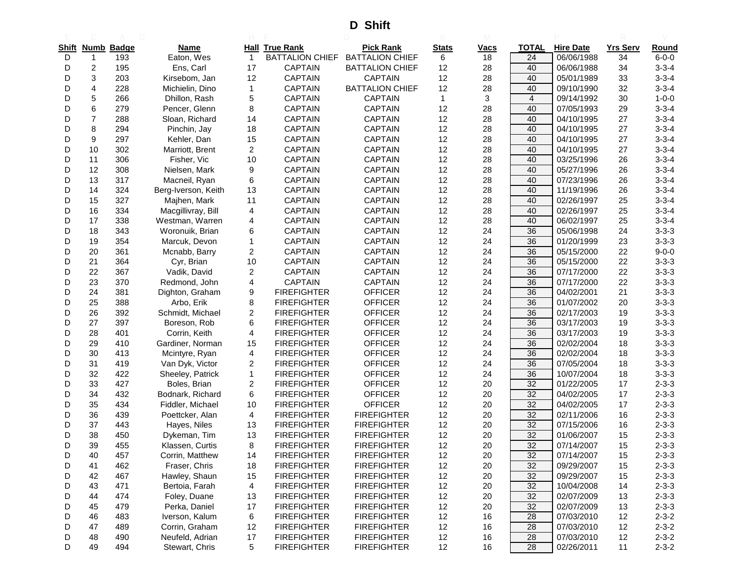**D Shift**

| Shift | Numb           | <b>Badge</b> | Name                |                | <b>Hall True Rank</b>  | <b>Pick Rank</b>       | <b>Stats</b> | <b>Vacs</b> | <b>TOTAL</b>    | <b>Hire Date</b> | <b>Yrs Serv</b> | Round       |
|-------|----------------|--------------|---------------------|----------------|------------------------|------------------------|--------------|-------------|-----------------|------------------|-----------------|-------------|
| D     | 1              | 193          | Eaton, Wes          | $\overline{1}$ | <b>BATTALION CHIEF</b> | <b>BATTALION CHIEF</b> | 6            | 18          | 24              | 06/06/1988       | 34              | $6 - 0 - 0$ |
| D     | $\overline{c}$ | 195          | Ens, Carl           | 17             | <b>CAPTAIN</b>         | <b>BATTALION CHIEF</b> | 12           | 28          | 40              | 06/06/1988       | 34              | $3 - 3 - 4$ |
| D     | 3              | 203          | Kirsebom, Jan       | 12             | <b>CAPTAIN</b>         | <b>CAPTAIN</b>         | 12           | 28          | 40              | 05/01/1989       | 33              | $3 - 3 - 4$ |
| D     | 4              | 228          | Michielin, Dino     | $\mathbf{1}$   | <b>CAPTAIN</b>         | <b>BATTALION CHIEF</b> | 12           | 28          | 40              | 09/10/1990       | 32              | $3 - 3 - 4$ |
| D     | 5              | 266          | Dhillon, Rash       | 5              | <b>CAPTAIN</b>         | <b>CAPTAIN</b>         | 1            | 3           | $\overline{4}$  | 09/14/1992       | 30              | $1 - 0 - 0$ |
| D     | 6              | 279          | Pencer, Glenn       | 8              | <b>CAPTAIN</b>         | <b>CAPTAIN</b>         | 12           | 28          | 40              | 07/05/1993       | 29              | $3 - 3 - 4$ |
| D     | $\overline{7}$ | 288          | Sloan, Richard      | 14             | <b>CAPTAIN</b>         | CAPTAIN                | 12           | 28          | 40              | 04/10/1995       | 27              | $3 - 3 - 4$ |
| D     | 8              | 294          | Pinchin, Jay        | 18             | <b>CAPTAIN</b>         | <b>CAPTAIN</b>         | 12           | 28          | 40              | 04/10/1995       | 27              | $3 - 3 - 4$ |
| D     | 9              | 297          | Kehler, Dan         | 15             | <b>CAPTAIN</b>         | <b>CAPTAIN</b>         | 12           | 28          | 40              | 04/10/1995       | 27              | $3 - 3 - 4$ |
| D     | 10             | 302          | Marriott, Brent     | $\overline{2}$ | <b>CAPTAIN</b>         | <b>CAPTAIN</b>         | 12           | 28          | 40              | 04/10/1995       | 27              | $3 - 3 - 4$ |
| D     | 11             | 306          | Fisher, Vic         | 10             | <b>CAPTAIN</b>         | <b>CAPTAIN</b>         | 12           | 28          | 40              | 03/25/1996       | 26              | $3 - 3 - 4$ |
| D     | 12             | 308          | Nielsen, Mark       | 9              | <b>CAPTAIN</b>         | <b>CAPTAIN</b>         | 12           | 28          | 40              | 05/27/1996       | 26              | $3 - 3 - 4$ |
| D     | 13             | 317          | Macneil, Ryan       | 6              | <b>CAPTAIN</b>         | CAPTAIN                | 12           | 28          | 40              | 07/23/1996       | 26              | $3 - 3 - 4$ |
| D     | 14             | 324          | Berg-Iverson, Keith | 13             | <b>CAPTAIN</b>         | <b>CAPTAIN</b>         | 12           | 28          | 40              | 11/19/1996       | 26              | $3 - 3 - 4$ |
| D     | 15             | 327          | Majhen, Mark        | 11             | <b>CAPTAIN</b>         | <b>CAPTAIN</b>         | 12           | 28          | 40              | 02/26/1997       | 25              | $3 - 3 - 4$ |
| D     | 16             | 334          | Macgillivray, Bill  | 4              | <b>CAPTAIN</b>         | <b>CAPTAIN</b>         | 12           | 28          | 40              | 02/26/1997       | 25              | $3 - 3 - 4$ |
| D     | 17             | 338          | Westman, Warren     | 4              | <b>CAPTAIN</b>         | <b>CAPTAIN</b>         | 12           | 28          | 40              | 06/02/1997       | 25              | $3 - 3 - 4$ |
| D     | 18             | 343          | Woronuik, Brian     | 6              | <b>CAPTAIN</b>         | CAPTAIN                | 12           | 24          | 36              | 05/06/1998       | 24              | $3 - 3 - 3$ |
| D     | 19             | 354          | Marcuk, Devon       | 1              | <b>CAPTAIN</b>         | <b>CAPTAIN</b>         | 12           | 24          | 36              | 01/20/1999       | 23              | $3 - 3 - 3$ |
| D     | 20             | 361          | Mcnabb, Barry       | 2              | <b>CAPTAIN</b>         | <b>CAPTAIN</b>         | 12           | 24          | 36              | 05/15/2000       | 22              | $9 - 0 - 0$ |
| D     | 21             | 364          | Cyr, Brian          | 10             | <b>CAPTAIN</b>         | <b>CAPTAIN</b>         | 12           | 24          | 36              | 05/15/2000       | 22              | $3 - 3 - 3$ |
| D     | 22             | 367          | Vadik, David        | 2              | <b>CAPTAIN</b>         | <b>CAPTAIN</b>         | 12           | 24          | 36              | 07/17/2000       | 22              | $3 - 3 - 3$ |
| D     | 23             | 370          | Redmond, John       | 4              | <b>CAPTAIN</b>         | <b>CAPTAIN</b>         | 12           | 24          | 36              | 07/17/2000       | 22              | $3 - 3 - 3$ |
| D     | 24             | 381          | Dighton, Graham     | 9              | <b>FIREFIGHTER</b>     | <b>OFFICER</b>         | 12           | 24          | 36              | 04/02/2001       | 21              | $3 - 3 - 3$ |
| D     | 25             | 388          | Arbo, Erik          | 8              | <b>FIREFIGHTER</b>     | <b>OFFICER</b>         | 12           | 24          | 36              | 01/07/2002       | 20              | $3 - 3 - 3$ |
| D     | 26             | 392          | Schmidt, Michael    | 2              | <b>FIREFIGHTER</b>     | <b>OFFICER</b>         | 12           | 24          | 36              | 02/17/2003       | 19              | $3 - 3 - 3$ |
| D     | 27             | 397          | Boreson, Rob        | 6              | <b>FIREFIGHTER</b>     | <b>OFFICER</b>         | 12           | 24          | 36              | 03/17/2003       | 19              | $3 - 3 - 3$ |
| D     | 28             | 401          | Corrin, Keith       | 4              | <b>FIREFIGHTER</b>     | <b>OFFICER</b>         | 12           | 24          | 36              | 03/17/2003       | 19              | $3 - 3 - 3$ |
| D     | 29             | 410          | Gardiner, Norman    | 15             | <b>FIREFIGHTER</b>     | <b>OFFICER</b>         | 12           | 24          | 36              | 02/02/2004       | 18              | $3 - 3 - 3$ |
| D     | 30             | 413          | Mcintyre, Ryan      | 4              | <b>FIREFIGHTER</b>     | <b>OFFICER</b>         | 12           | 24          | 36              | 02/02/2004       | 18              | $3 - 3 - 3$ |
| D     | 31             | 419          | Van Dyk, Victor     | 2              | <b>FIREFIGHTER</b>     | <b>OFFICER</b>         | 12           | 24          | 36              | 07/05/2004       | 18              | $3 - 3 - 3$ |
| D     | 32             | 422          | Sheeley, Patrick    | $\mathbf{1}$   | <b>FIREFIGHTER</b>     | <b>OFFICER</b>         | 12           | 24          | 36              | 10/07/2004       | 18              | $3 - 3 - 3$ |
| D     | 33             | 427          | Boles, Brian        | 2              | <b>FIREFIGHTER</b>     | <b>OFFICER</b>         | 12           | 20          | 32              | 01/22/2005       | 17              | $2 - 3 - 3$ |
| D     | 34             | 432          | Bodnark, Richard    | 6              | <b>FIREFIGHTER</b>     | <b>OFFICER</b>         | 12           | 20          | 32              | 04/02/2005       | 17              | $2 - 3 - 3$ |
| D     | 35             | 434          | Fiddler, Michael    | 10             | <b>FIREFIGHTER</b>     | <b>OFFICER</b>         | 12           | 20          | 32              | 04/02/2005       | 17              | $2 - 3 - 3$ |
| D     | 36             | 439          | Poettcker, Alan     | 4              | <b>FIREFIGHTER</b>     | <b>FIREFIGHTER</b>     | 12           | 20          | 32              | 02/11/2006       | 16              | $2 - 3 - 3$ |
| D     | 37             | 443          | Hayes, Niles        | 13             | <b>FIREFIGHTER</b>     | <b>FIREFIGHTER</b>     | 12           | 20          | 32              | 07/15/2006       | 16              | $2 - 3 - 3$ |
| D     | 38             | 450          | Dykeman, Tim        | 13             | <b>FIREFIGHTER</b>     | <b>FIREFIGHTER</b>     | 12           | 20          | 32              | 01/06/2007       | 15              | $2 - 3 - 3$ |
| D     | 39             | 455          | Klassen. Curtis     | 8              | <b>FIREFIGHTER</b>     | <b>FIREFIGHTER</b>     | 12           | 20          | 32              | 07/14/2007       | 15              | $2 - 3 - 3$ |
| D     | 40             | 457          | Corrin, Matthew     | 14             | <b>FIREFIGHTER</b>     | <b>FIREFIGHTER</b>     | 12           | 20          | 32              | 07/14/2007       | 15              | $2 - 3 - 3$ |
| D     | 41             | 462          | Fraser, Chris       | 18             | <b>FIREFIGHTER</b>     | <b>FIREFIGHTER</b>     | 12           | $20\,$      | 32              | 09/29/2007       | 15              | $2 - 3 - 3$ |
| D     | 42             | 467          | Hawley, Shaun       | 15             | <b>FIREFIGHTER</b>     | <b>FIREFIGHTER</b>     | 12           | $20\,$      | 32              | 09/29/2007       | 15              | $2 - 3 - 3$ |
| D     | 43             | 471          | Bertoia, Farah      | 4              | <b>FIREFIGHTER</b>     | <b>FIREFIGHTER</b>     | 12           | $20\,$      | 32              | 10/04/2008       | 14              | $2 - 3 - 3$ |
| D     | 44             | 474          | Foley, Duane        | 13             | <b>FIREFIGHTER</b>     | <b>FIREFIGHTER</b>     | 12           | $20\,$      | 32              | 02/07/2009       | 13              | $2 - 3 - 3$ |
| D     | 45             | 479          | Perka, Daniel       | 17             | <b>FIREFIGHTER</b>     | <b>FIREFIGHTER</b>     | 12           | 20          | 32              | 02/07/2009       | 13              | $2 - 3 - 3$ |
| D     | 46             | 483          | Iverson, Kalum      | 6              | <b>FIREFIGHTER</b>     | <b>FIREFIGHTER</b>     | 12           | 16          | $\overline{28}$ | 07/03/2010       | 12              | $2 - 3 - 2$ |
| D     | 47             | 489          | Corrin, Graham      | 12             | <b>FIREFIGHTER</b>     | <b>FIREFIGHTER</b>     | 12           | 16          | 28              | 07/03/2010       | 12              | $2 - 3 - 2$ |
| D     | 48             | 490          | Neufeld, Adrian     | 17             | <b>FIREFIGHTER</b>     | <b>FIREFIGHTER</b>     | 12           | 16          | 28              | 07/03/2010       | 12              | $2 - 3 - 2$ |
| D     | 49             | 494          | Stewart, Chris      | 5              | <b>FIREFIGHTER</b>     | <b>FIREFIGHTER</b>     | 12           | 16          | 28              | 02/26/2011       | 11              | $2 - 3 - 2$ |